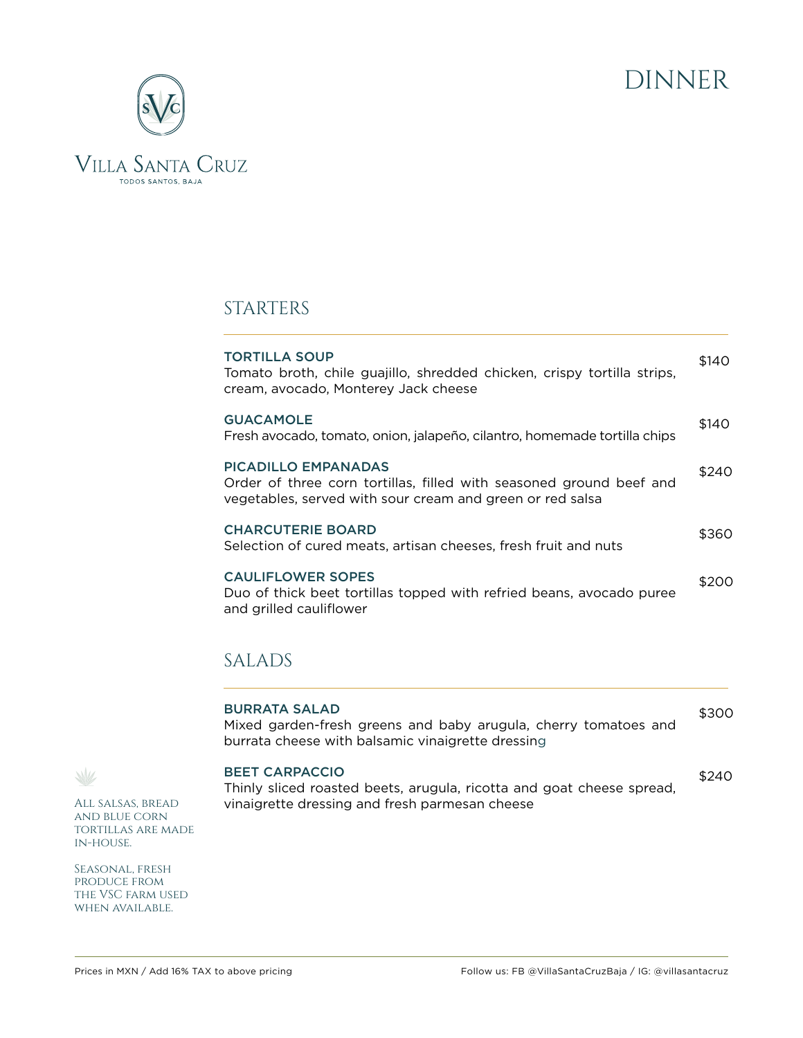



## STARTERS

| <b>TORTILLA SOUP</b><br>Tomato broth, chile guajillo, shredded chicken, crispy tortilla strips,<br>cream, avocado, Monterey Jack cheese                        | \$140 |
|----------------------------------------------------------------------------------------------------------------------------------------------------------------|-------|
| <b>GUACAMOLE</b><br>Fresh avocado, tomato, onion, jalapeño, cilantro, homemade tortilla chips                                                                  | \$140 |
| <b>PICADILLO EMPANADAS</b><br>Order of three corn tortillas, filled with seasoned ground beef and<br>vegetables, served with sour cream and green or red salsa | \$240 |
| <b>CHARCUTERIE BOARD</b><br>Selection of cured meats, artisan cheeses, fresh fruit and nuts                                                                    | \$360 |
| <b>CAULIFLOWER SOPES</b><br>Duo of thick beet tortillas topped with refried beans, avocado puree<br>and grilled cauliflower                                    | \$200 |

## SALADS

| <b>BURRATA SALAD</b><br>Mixed garden-fresh greens and baby arugula, cherry tomatoes and<br>burrata cheese with balsamic vinaigrette dressing     | \$300 |
|--------------------------------------------------------------------------------------------------------------------------------------------------|-------|
| <b>BEET CARPACCIO</b><br>Thinly sliced roasted beets, arugula, ricotta and goat cheese spread,<br>vinaigrette dressing and fresh parmesan cheese | \$240 |

All salsas, bread and blue corn tortillas are made in-house.

 $\sqrt{2}$ 

Seasonal, fresh produce from the VSC farm used when available.